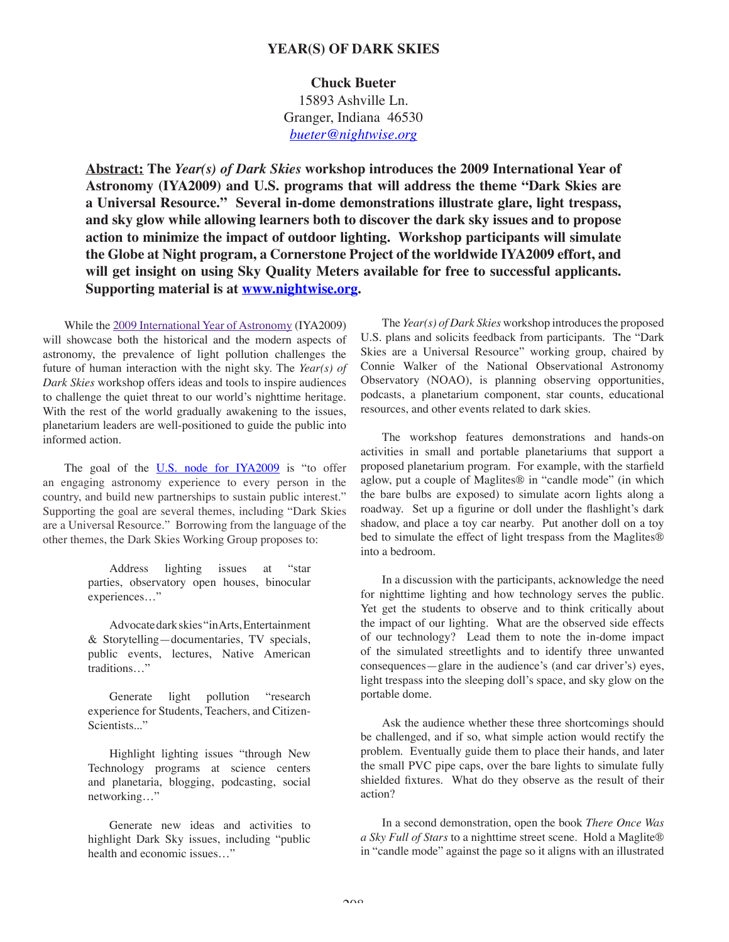# **YEAR(S) OF DARK SKIES**

### **Chuck Bueter**

15893 Ashville Ln. Granger, Indiana 46530 *bueter@nightwise.org*

Abstract: The *Year(s) of Dark Skies* workshop introduces the 2009 International Year of **Astronomy (IYA2009) and U.S. programs that will address the theme "Dark Skies are a Universal Resource." Several in-dome demonstrations illustrate glare, light trespass, and sky glow while allowing learners both to discover the dark sky issues and to propose action to minimize the impact of outdoor lighting. Workshop participants will simulate the Globe at Night program, a Cornerstone Project of the worldwide IYA2009 effort, and will get insight on using Sky Quality Meters available for free to successful applicants. Supporting material is at www.nightwise.org.**

While the 2009 International Year of Astronomy (IYA2009) will showcase both the historical and the modern aspects of astronomy, the prevalence of light pollution challenges the future of human interaction with the night sky. The *Year(s) of Dark Skies* workshop offers ideas and tools to inspire audiences to challenge the quiet threat to our world's nighttime heritage. With the rest of the world gradually awakening to the issues, planetarium leaders are well-positioned to guide the public into informed action.

The goal of the U.S. node for IYA2009 is "to offer an engaging astronomy experience to every person in the country, and build new partnerships to sustain public interest." Supporting the goal are several themes, including "Dark Skies are a Universal Resource." Borrowing from the language of the other themes, the Dark Skies Working Group proposes to:

> Address lighting issues at "star parties, observatory open houses, binocular experiences…"

> Advocate dark skies "in Arts, Entertainment & Storytelling—documentaries, TV specials, public events, lectures, Native American traditions…"

> Generate light pollution "research experience for Students, Teachers, and Citizen-Scientists..."

> Highlight lighting issues "through New Technology programs at science centers and planetaria, blogging, podcasting, social networking…"

> Generate new ideas and activities to highlight Dark Sky issues, including "public health and economic issues…"

The *Year(s) of Dark Skies* workshop introduces the proposed U.S. plans and solicits feedback from participants. The "Dark Skies are a Universal Resource" working group, chaired by Connie Walker of the National Observational Astronomy Observatory (NOAO), is planning observing opportunities, podcasts, a planetarium component, star counts, educational resources, and other events related to dark skies.

The workshop features demonstrations and hands-on activities in small and portable planetariums that support a proposed planetarium program. For example, with the starfield aglow, put a couple of Maglites® in "candle mode" (in which the bare bulbs are exposed) to simulate acorn lights along a roadway. Set up a figurine or doll under the flashlight's dark shadow, and place a toy car nearby. Put another doll on a toy bed to simulate the effect of light trespass from the Maglites® into a bedroom.

In a discussion with the participants, acknowledge the need for nighttime lighting and how technology serves the public. Yet get the students to observe and to think critically about the impact of our lighting. What are the observed side effects of our technology? Lead them to note the in-dome impact of the simulated streetlights and to identify three unwanted consequences—glare in the audience's (and car driver's) eyes, light trespass into the sleeping doll's space, and sky glow on the portable dome.

Ask the audience whether these three shortcomings should be challenged, and if so, what simple action would rectify the problem. Eventually guide them to place their hands, and later the small PVC pipe caps, over the bare lights to simulate fully shielded fixtures. What do they observe as the result of their action?

In a second demonstration, open the book *There Once Was a Sky Full of Stars* to a nighttime street scene. Hold a Maglite® in "candle mode" against the page so it aligns with an illustrated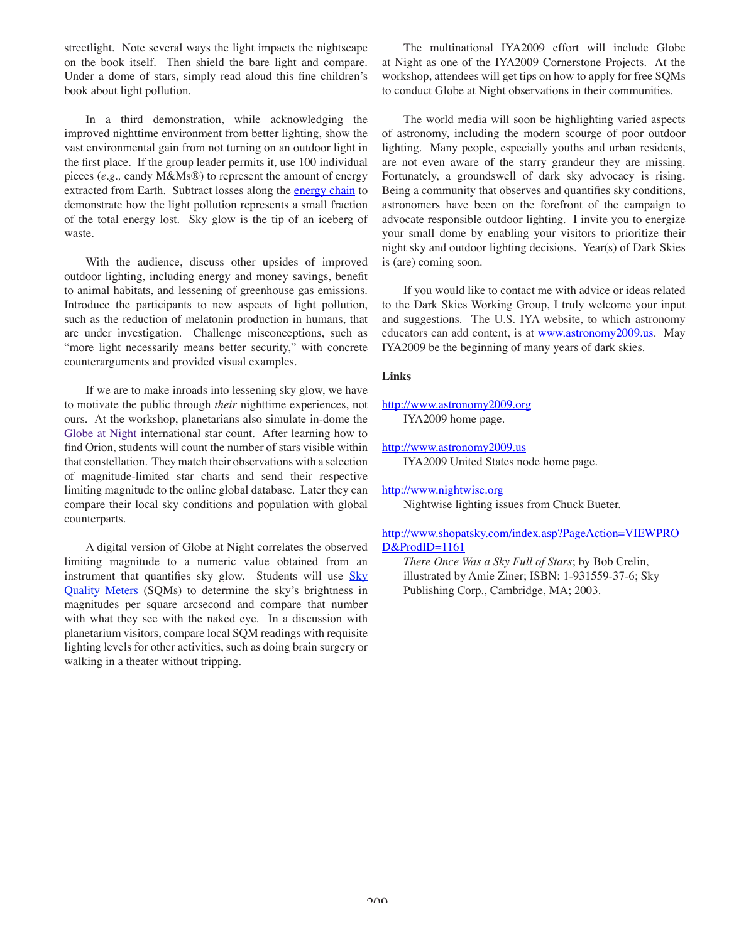streetlight. Note several ways the light impacts the nightscape on the book itself. Then shield the bare light and compare. Under a dome of stars, simply read aloud this fine children's book about light pollution.

In a third demonstration, while acknowledging the improved nighttime environment from better lighting, show the vast environmental gain from not turning on an outdoor light in the first place. If the group leader permits it, use 100 individual pieces (*e.g.,* candy M&Ms®) to represent the amount of energy extracted from Earth. Subtract losses along the **energy chain** to demonstrate how the light pollution represents a small fraction of the total energy lost. Sky glow is the tip of an iceberg of waste.

With the audience, discuss other upsides of improved outdoor lighting, including energy and money savings, benefit to animal habitats, and lessening of greenhouse gas emissions. Introduce the participants to new aspects of light pollution, such as the reduction of melatonin production in humans, that are under investigation. Challenge misconceptions, such as "more light necessarily means better security," with concrete counterarguments and provided visual examples.

If we are to make inroads into lessening sky glow, we have to motivate the public through *their* nighttime experiences, not ours. At the workshop, planetarians also simulate in-dome the Globe at Night international star count. After learning how to find Orion, students will count the number of stars visible within that constellation. They match their observations with a selection of magnitude-limited star charts and send their respective limiting magnitude to the online global database. Later they can compare their local sky conditions and population with global counterparts.

A digital version of Globe at Night correlates the observed limiting magnitude to a numeric value obtained from an instrument that quantifies sky glow. Students will use Sky Quality Meters (SQMs) to determine the sky's brightness in magnitudes per square arcsecond and compare that number with what they see with the naked eye. In a discussion with planetarium visitors, compare local SQM readings with requisite lighting levels for other activities, such as doing brain surgery or walking in a theater without tripping.

The multinational IYA2009 effort will include Globe at Night as one of the IYA2009 Cornerstone Projects. At the workshop, attendees will get tips on how to apply for free SQMs to conduct Globe at Night observations in their communities.

The world media will soon be highlighting varied aspects of astronomy, including the modern scourge of poor outdoor lighting. Many people, especially youths and urban residents, are not even aware of the starry grandeur they are missing. Fortunately, a groundswell of dark sky advocacy is rising. Being a community that observes and quantifies sky conditions, astronomers have been on the forefront of the campaign to advocate responsible outdoor lighting. I invite you to energize your small dome by enabling your visitors to prioritize their night sky and outdoor lighting decisions. Year(s) of Dark Skies is (are) coming soon.

If you would like to contact me with advice or ideas related to the Dark Skies Working Group, I truly welcome your input and suggestions. The U.S. IYA website, to which astronomy educators can add content, is at www.astronomy2009.us. May IYA2009 be the beginning of many years of dark skies.

## **Links**

### http://www.astronomy2009.org IYA2009 home page.

#### http://www.astronomy2009.us

IYA2009 United States node home page.

## http://www.nightwise.org

Nightwise lighting issues from Chuck Bueter.

# http://www.shopatsky.com/index.asp?PageAction=VIEWPRO D&ProdID=1161

*There Once Was a Sky Full of Stars*; by Bob Crelin, illustrated by Amie Ziner; ISBN: 1-931559-37-6; Sky Publishing Corp., Cambridge, MA; 2003.